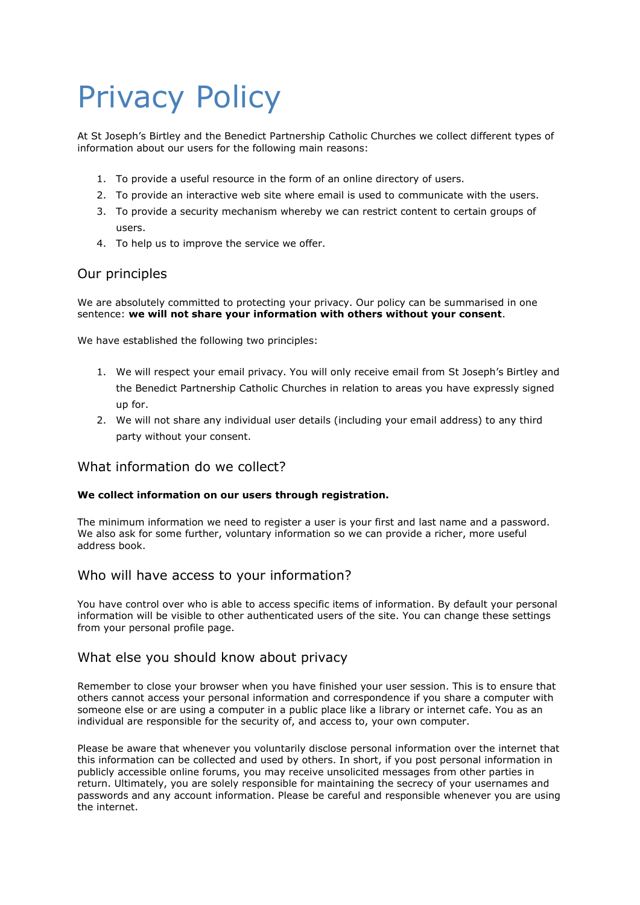# Privacy Policy

At St Joseph's Birtley and the Benedict Partnership Catholic Churches we collect different types of information about our users for the following main reasons:

- 1. To provide a useful resource in the form of an online directory of users.
- 2. To provide an interactive web site where email is used to communicate with the users.
- 3. To provide a security mechanism whereby we can restrict content to certain groups of users.
- 4. To help us to improve the service we offer.

# Our principles

We are absolutely committed to protecting your privacy. Our policy can be summarised in one sentence: **we will not share your information with others without your consent**.

We have established the following two principles:

- 1. We will respect your email privacy. You will only receive email from St Joseph's Birtley and the Benedict Partnership Catholic Churches in relation to areas you have expressly signed up for.
- 2. We will not share any individual user details (including your email address) to any third party without your consent.

# What information do we collect?

#### **We collect information on our users through registration.**

The minimum information we need to register a user is your first and last name and a password. We also ask for some further, voluntary information so we can provide a richer, more useful address book.

## Who will have access to your information?

You have control over who is able to access specific items of information. By default your personal information will be visible to other authenticated users of the site. You can change these settings from your personal profile page.

## What else you should know about privacy

Remember to close your browser when you have finished your user session. This is to ensure that others cannot access your personal information and correspondence if you share a computer with someone else or are using a computer in a public place like a library or internet cafe. You as an individual are responsible for the security of, and access to, your own computer.

Please be aware that whenever you voluntarily disclose personal information over the internet that this information can be collected and used by others. In short, if you post personal information in publicly accessible online forums, you may receive unsolicited messages from other parties in return. Ultimately, you are solely responsible for maintaining the secrecy of your usernames and passwords and any account information. Please be careful and responsible whenever you are using the internet.